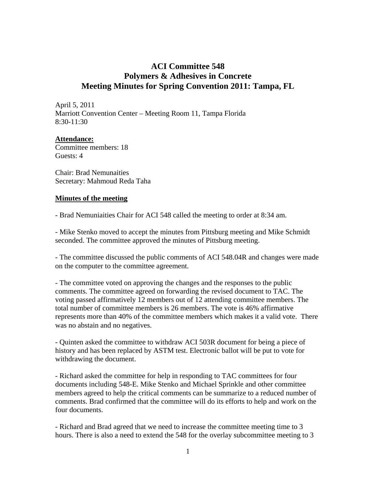## **ACI Committee 548 Polymers & Adhesives in Concrete Meeting Minutes for Spring Convention 2011: Tampa, FL**

April 5, 2011 Marriott Convention Center – Meeting Room 11, Tampa Florida 8:30-11:30

## **Attendance:**

Committee members: 18 Guests: 4

Chair: Brad Nemunaities Secretary: Mahmoud Reda Taha

## **Minutes of the meeting**

- Brad Nemuniaities Chair for ACI 548 called the meeting to order at 8:34 am.

- Mike Stenko moved to accept the minutes from Pittsburg meeting and Mike Schmidt seconded. The committee approved the minutes of Pittsburg meeting.

- The committee discussed the public comments of ACI 548.04R and changes were made on the computer to the committee agreement.

- The committee voted on approving the changes and the responses to the public comments. The committee agreed on forwarding the revised document to TAC. The voting passed affirmatively 12 members out of 12 attending committee members. The total number of committee members is 26 members. The vote is 46% affirmative represents more than 40% of the committee members which makes it a valid vote. There was no abstain and no negatives.

- Quinten asked the committee to withdraw ACI 503R document for being a piece of history and has been replaced by ASTM test. Electronic ballot will be put to vote for withdrawing the document.

- Richard asked the committee for help in responding to TAC committees for four documents including 548-E. Mike Stenko and Michael Sprinkle and other committee members agreed to help the critical comments can be summarize to a reduced number of comments. Brad confirmed that the committee will do its efforts to help and work on the four documents.

- Richard and Brad agreed that we need to increase the committee meeting time to 3 hours. There is also a need to extend the 548 for the overlay subcommittee meeting to 3